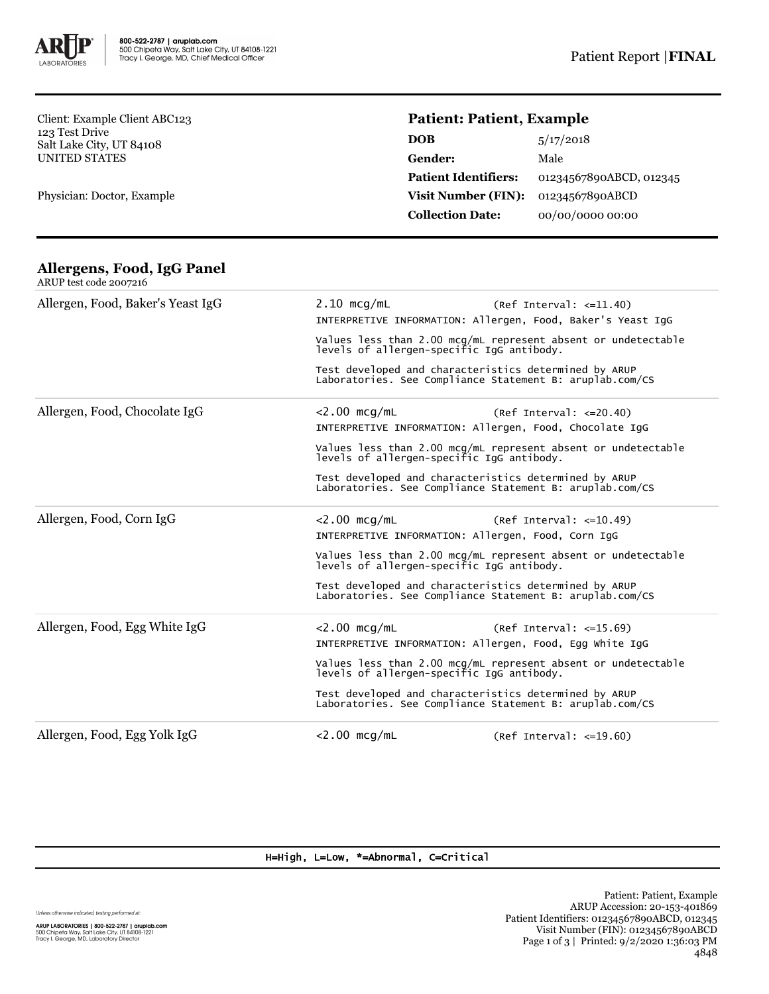

Client: Example Client ABC123 123 Test Drive Salt Lake City, UT 84108 UNITED STATES

Physician: Doctor, Example

# **Patient: Patient, Example**

#### **Allergens, Food, IgG Panel** ARUP test code 2007216

| Allergen, Food, Baker's Yeast IgG | $2.10$ mcg/mL                                                                                                                                                                                                                   | $(Ref Interval: <=11.40)$<br>INTERPRETIVE INFORMATION: Allergen, Food, Baker's Yeast IgG                          |  |
|-----------------------------------|---------------------------------------------------------------------------------------------------------------------------------------------------------------------------------------------------------------------------------|-------------------------------------------------------------------------------------------------------------------|--|
|                                   | Values less than 2.00 mcg/mL represent absent or undetectable<br>levels of allergen-specific IgG antibody.<br>Test developed and characteristics determined by ARUP<br>Laboratories. See Compliance Statement B: aruplab.com/CS |                                                                                                                   |  |
|                                   |                                                                                                                                                                                                                                 |                                                                                                                   |  |
| Allergen, Food, Chocolate IgG     | $<$ 2.00 mcg/mL                                                                                                                                                                                                                 | $(Ref Interval: < = 20.40)$                                                                                       |  |
|                                   | INTERPRETIVE INFORMATION: Allergen, Food, Chocolate IgG                                                                                                                                                                         |                                                                                                                   |  |
|                                   | Values less than 2.00 mcg/mL represent absent or undetectable<br>levels of allergen-specific IgG antibody.                                                                                                                      |                                                                                                                   |  |
|                                   |                                                                                                                                                                                                                                 | Test developed and characteristics determined by ARUP<br>Laboratories. See Compliance Statement B: aruplab.com/CS |  |
| Allergen, Food, Corn IgG          | $<$ 2.00 mcg/mL                                                                                                                                                                                                                 | (Ref Interval: <=10.49)<br>INTERPRETIVE INFORMATION: Allergen, Food, Corn IgG                                     |  |
|                                   | Values less than 2.00 mcg/mL represent absent or undetectable<br>levels of allergen-specific IgG antibody.                                                                                                                      |                                                                                                                   |  |
|                                   | Test developed and characteristics determined by ARUP<br>Laboratories. See Compliance Statement B: aruplab.com/CS                                                                                                               |                                                                                                                   |  |
| Allergen, Food, Egg White IgG     | $<$ 2.00 mcg/mL                                                                                                                                                                                                                 | (Ref Interval: <=15.69)                                                                                           |  |
|                                   |                                                                                                                                                                                                                                 | INTERPRETIVE INFORMATION: Allergen, Food, Egg white IgG                                                           |  |
|                                   | Values less than 2.00 mcg/mL represent absent or undetectable<br>levels of allergen-specific IgG antibody.                                                                                                                      |                                                                                                                   |  |
|                                   | Test developed and characteristics determined by ARUP<br>Laboratories. See Compliance Statement B: aruplab.com/CS                                                                                                               |                                                                                                                   |  |
| Allergen, Food, Egg Yolk IgG      | $<$ 2.00 mcg/mL                                                                                                                                                                                                                 | $(Ref Interval: <=19.60)$                                                                                         |  |

### H=High, L=Low, \*=Abnormal, C=Critical

Unless otherwise indicated, testing performed at:

**ARUP LABORATORIES | 800-522-2787 | aruplab.com**<br>500 Chipeta Way, Salt Lake City, UT 84108-1221<br>Tracy I. George, MD, Laboratory Director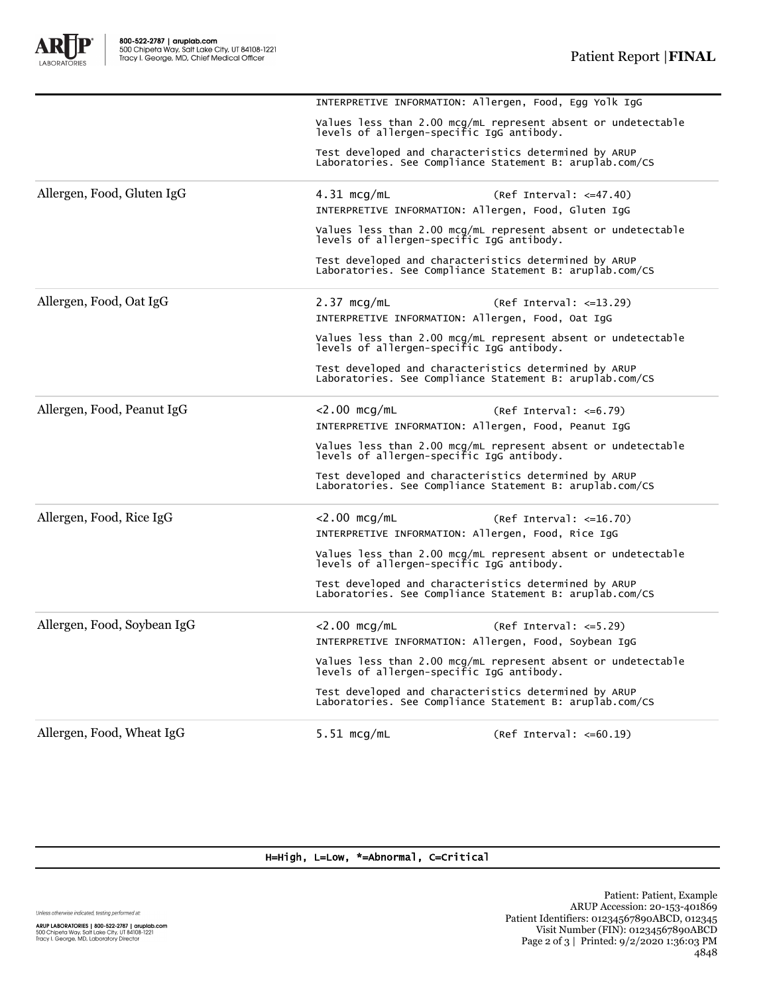A

ORATORIES

| Allergen, Food, Wheat IgG   | $5.51 \text{ mcq/mL}$<br>$(Ref Interval: < =60.19)$                                                               |  |  |
|-----------------------------|-------------------------------------------------------------------------------------------------------------------|--|--|
|                             | Test developed and characteristics determined by ARUP<br>Laboratories. See Compliance Statement B: aruplab.com/CS |  |  |
|                             | Values less than 2.00 mcg/mL represent absent or undetectable<br>levels of allergen-specific IgG antibody.        |  |  |
|                             | INTERPRETIVE INFORMATION: Allergen, Food, Soybean IgG                                                             |  |  |
| Allergen, Food, Soybean IgG | $<$ 2.00 mcg/mL<br>$(Ref Interval: < = 5.29)$                                                                     |  |  |
|                             | Test developed and characteristics determined by ARUP<br>Laboratories. See Compliance Statement B: aruplab.com/CS |  |  |
|                             | Values less than 2.00 mcg/mL represent absent or undetectable<br>levels of allergen-specific IgG antibody.        |  |  |
|                             | INTERPRETIVE INFORMATION: Allergen, Food, Rice IgG                                                                |  |  |
| Allergen, Food, Rice IgG    | $<$ 2.00 mcg/mL<br>$(Ref Interval: <=16.70)$                                                                      |  |  |
|                             | Test developed and characteristics determined by ARUP<br>Laboratories. See Compliance Statement B: aruplab.com/CS |  |  |
|                             | Values less than 2.00 mcg/mL represent absent or undetectable<br>levels of allergen-specific IgG antibody.        |  |  |
|                             | INTERPRETIVE INFORMATION: Allergen, Food, Peanut IgG                                                              |  |  |
| Allergen, Food, Peanut IgG  | $<$ 2.00 mcg/mL<br>$(Ref Interval: <=6.79)$                                                                       |  |  |
|                             | Test developed and characteristics determined by ARUP<br>Laboratories. See Compliance Statement B: aruplab.com/CS |  |  |
|                             | Values less than 2.00 mcg/mL represent absent or undetectable<br>levels of allergen-specific IgG antibody.        |  |  |
|                             | INTERPRETIVE INFORMATION: Allergen, Food, Oat IgG                                                                 |  |  |
| Allergen, Food, Oat IgG     | $2.37 \text{ mcg/mL}$<br>$(Ref Interval: <=13.29)$                                                                |  |  |
|                             | Test developed and characteristics determined by ARUP<br>Laboratories. See Compliance Statement B: aruplab.com/CS |  |  |
|                             | Values less than 2.00 mcg/mL represent absent or undetectable<br>levels of allergen-specific IgG antibody.        |  |  |
| Allergen, Food, Gluten IgG  | $4.31 \text{ mcg/mL}$<br>$(Ref Interval: <=47.40)$<br>INTERPRETIVE INFORMATION: Allergen, Food, Gluten IgG        |  |  |
|                             |                                                                                                                   |  |  |
|                             | Test developed and characteristics determined by ARUP<br>Laboratories. See Compliance Statement B: aruplab.com/CS |  |  |
|                             | Values less than 2.00 mcg/mL represent absent or undetectable<br>levels of allergen-specific IgG antibody.        |  |  |

INTERPRETIVE INFORMATION: Allergen, Food, Egg Yolk IgG

## H=High, L=Low, \*=Abnormal, C=Critical

Unless otherwise indicated, testing performed at:

**ARUP LABORATORIES | 800-522-2787 | aruplab.com**<br>500 Chipeta Way, Salt Lake City, UT 84108-1221<br>Tracy I. George, MD, Laboratory Director

Patient: Patient, Example ARUP Accession: 20-153-401869 Patient Identifiers: 01234567890ABCD, 012345 Visit Number (FIN): 01234567890ABCD Page 2 of 3 | Printed: 9/2/2020 1:36:03 PM 4848